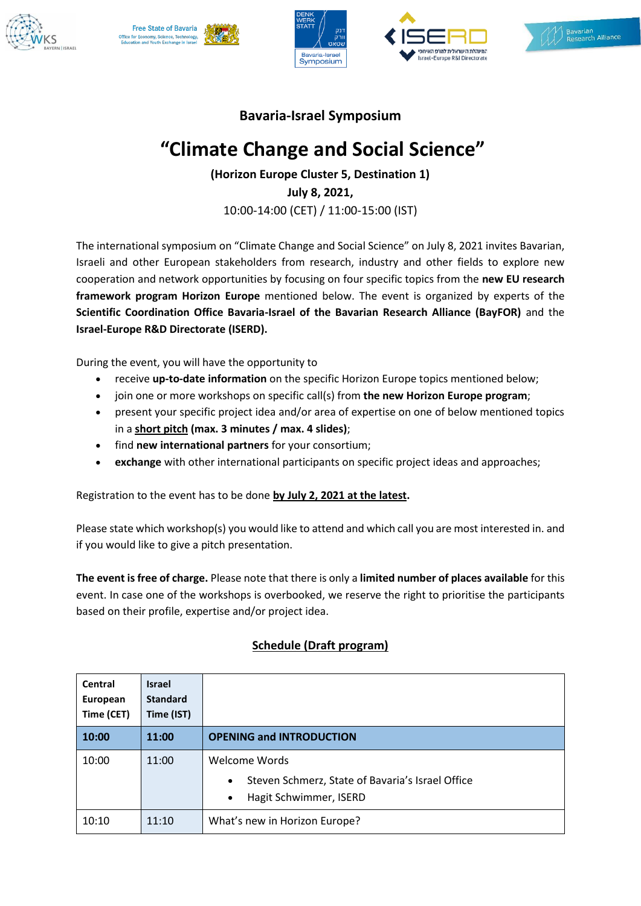









## **Bavaria-Israel Symposium**

## **"Climate Change and Social Science"**

**(Horizon Europe Cluster 5, Destination 1) July 8, 2021,**  10:00-14:00 (CET) / 11:00-15:00 (IST)

The international symposium on "Climate Change and Social Science" on July 8, 2021 invites Bavarian, Israeli and other European stakeholders from research, industry and other fields to explore new cooperation and network opportunities by focusing on four specific topics from the **new EU research framework program Horizon Europe** mentioned below. The event is organized by experts of the **Scientific Coordination Office Bavaria-Israel of the Bavarian Research Alliance (BayFOR)** and the **Israel-Europe R&D Directorate (ISERD).** 

During the event, you will have the opportunity to

- receive **up-to-date information** on the specific Horizon Europe topics mentioned below;
- join one or more workshops on specific call(s) from **the new Horizon Europe program**;
- present your specific project idea and/or area of expertise on one of below mentioned topics in a **short pitch (max. 3 minutes / max. 4 slides)**;
- find **new international partners** for your consortium;
- **exchange** with other international participants on specific project ideas and approaches;

Registration to the event has to be done **by July 2, 2021 at the latest.**

Please state which workshop(s) you would like to attend and which call you are most interested in. and if you would like to give a pitch presentation.

**The event is free of charge.** Please note that there is only a **limited number of places available** for this event. In case one of the workshops is overbooked, we reserve the right to prioritise the participants based on their profile, expertise and/or project idea.

| Central<br>European<br>Time (CET) | <b>Israel</b><br><b>Standard</b><br>Time (IST) |                                                                                                                       |
|-----------------------------------|------------------------------------------------|-----------------------------------------------------------------------------------------------------------------------|
| 10:00                             | 11:00                                          | <b>OPENING and INTRODUCTION</b>                                                                                       |
| 10:00                             | 11:00                                          | Welcome Words<br>Steven Schmerz, State of Bavaria's Israel Office<br>$\bullet$<br>Hagit Schwimmer, ISERD<br>$\bullet$ |
| 10:10                             | 11:10                                          | What's new in Horizon Europe?                                                                                         |

## **Schedule (Draft program)**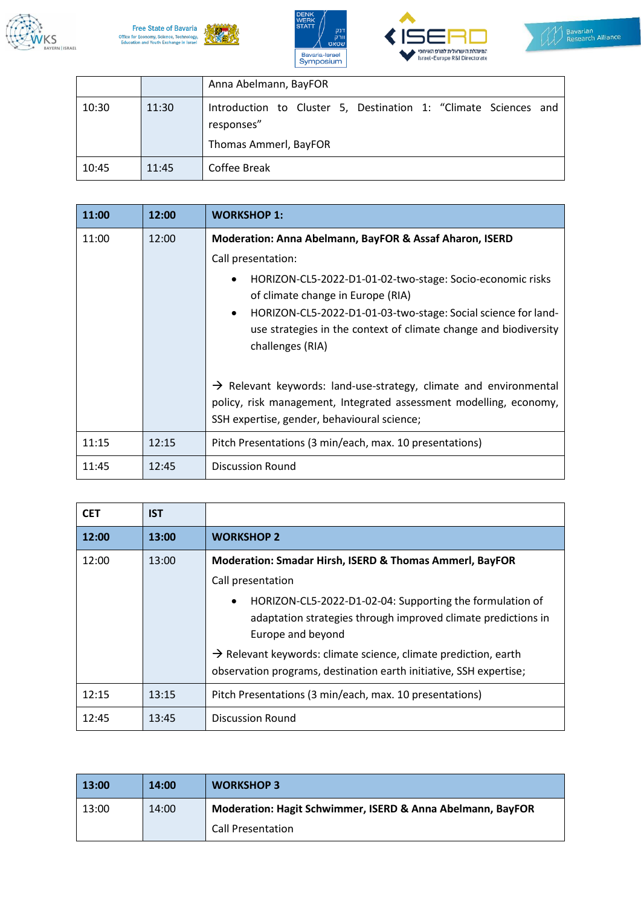









|       |       | Anna Abelmann, BayFOR                                                                                  |
|-------|-------|--------------------------------------------------------------------------------------------------------|
| 10:30 | 11:30 | Introduction to Cluster 5, Destination 1: "Climate Sciences and<br>responses"<br>Thomas Ammerl, BayFOR |
| 10:45 | 11:45 | Coffee Break                                                                                           |

| 11:00 | 12:00 | <b>WORKSHOP 1:</b>                                                                                                                                                                                 |
|-------|-------|----------------------------------------------------------------------------------------------------------------------------------------------------------------------------------------------------|
| 11:00 | 12:00 | Moderation: Anna Abelmann, BayFOR & Assaf Aharon, ISERD                                                                                                                                            |
|       |       | Call presentation:                                                                                                                                                                                 |
|       |       | HORIZON-CL5-2022-D1-01-02-two-stage: Socio-economic risks<br>٠<br>of climate change in Europe (RIA)                                                                                                |
|       |       | HORIZON-CL5-2022-D1-01-03-two-stage: Social science for land-<br>$\bullet$<br>use strategies in the context of climate change and biodiversity<br>challenges (RIA)                                 |
|       |       | $\rightarrow$ Relevant keywords: land-use-strategy, climate and environmental<br>policy, risk management, Integrated assessment modelling, economy,<br>SSH expertise, gender, behavioural science; |
| 11:15 | 12:15 | Pitch Presentations (3 min/each, max. 10 presentations)                                                                                                                                            |
| 11:45 | 12:45 | <b>Discussion Round</b>                                                                                                                                                                            |

| <b>CET</b> | <b>IST</b> |                                                                                                                                                             |
|------------|------------|-------------------------------------------------------------------------------------------------------------------------------------------------------------|
| 12:00      | 13:00      | <b>WORKSHOP 2</b>                                                                                                                                           |
| 12:00      | 13:00      | Moderation: Smadar Hirsh, ISERD & Thomas Ammerl, BayFOR                                                                                                     |
|            |            | Call presentation                                                                                                                                           |
|            |            | HORIZON-CL5-2022-D1-02-04: Supporting the formulation of<br>$\bullet$<br>adaptation strategies through improved climate predictions in<br>Europe and beyond |
|            |            | $\rightarrow$ Relevant keywords: climate science, climate prediction, earth<br>observation programs, destination earth initiative, SSH expertise;           |
| 12:15      | 13:15      | Pitch Presentations (3 min/each, max. 10 presentations)                                                                                                     |
| 12:45      | 13:45      | <b>Discussion Round</b>                                                                                                                                     |

| 13:00 | 14:00 | <b>WORKSHOP 3</b>                                          |
|-------|-------|------------------------------------------------------------|
| 13:00 | 14:00 | Moderation: Hagit Schwimmer, ISERD & Anna Abelmann, BayFOR |
|       |       | <b>Call Presentation</b>                                   |